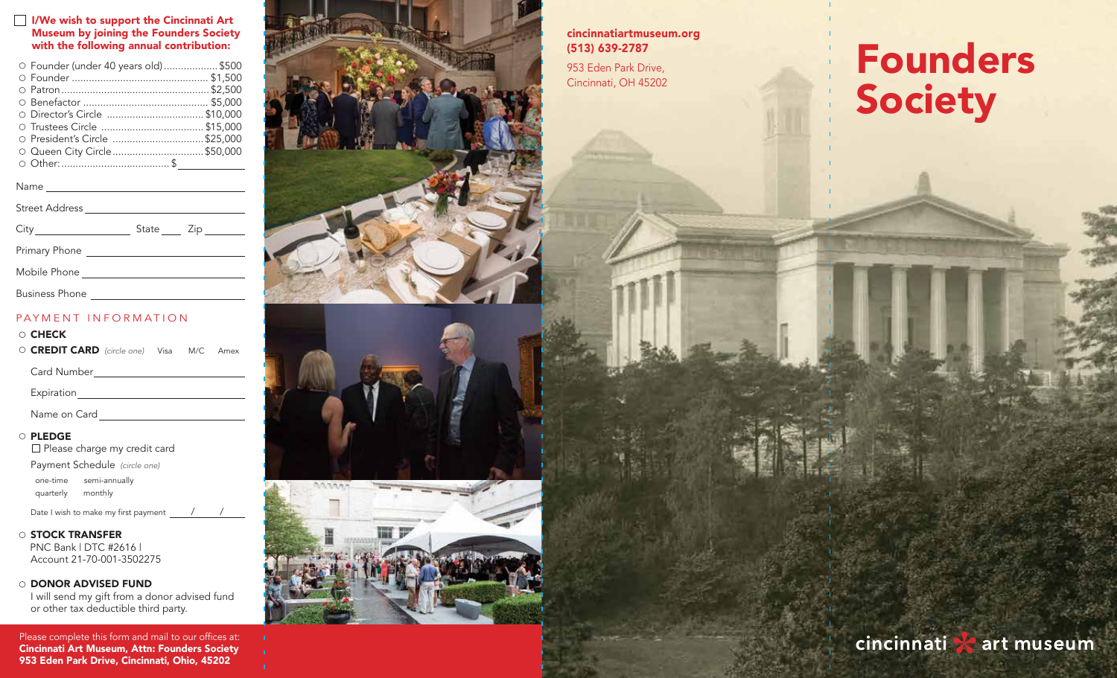#### I/We wish to support the Cincinnati Art Museum by joining the Founders Society with the following annual contribution:

| ○ Founder (under 40 years old)\$500 |  |
|-------------------------------------|--|
|                                     |  |
|                                     |  |
|                                     |  |
|                                     |  |
|                                     |  |
| ○ President's Circle \$25,000       |  |
| ○ Queen City Circle\$50,000         |  |
|                                     |  |
|                                     |  |
| Street Address                      |  |

| City <b>Communist Communist Communist Communist Communist Communist Communist Communist Communist Communist Communist Communist Communist Communist Communist Communist Communist Communist Communist Communist Communist Commun</b> | State Zip |  |
|--------------------------------------------------------------------------------------------------------------------------------------------------------------------------------------------------------------------------------------|-----------|--|
| Primary Phone                                                                                                                                                                                                                        |           |  |
| Mobile Phone                                                                                                                                                                                                                         |           |  |
| <b>Business Phone</b>                                                                                                                                                                                                                |           |  |

#### PAYMENT INFORMATION

| $\circ$ Check $\circ$                    |  |  |
|------------------------------------------|--|--|
| O CREDIT CARD (circle one) Visa M/C Amex |  |  |

Name on Card Sales and Sales and Sales and Sales and Sales and Sales and Sales and Sales and Sales and Sales and Sales and Sales and Sales and Sales and Sales and Sales and Sales and Sales and Sales and Sales and Sales and

#### O PLEDGE

□ Please charge my credit card

Payment Schedule (circle one)

one-time semi-annually

quarterly monthly

Date I wish to make my first payment / /

#### O STOCK TRANSFER

PNC Bank | DTC #2616 | Account 21-70-001-3502275

#### O DONOR ADVISED FUND

I will send my gift from a donor advised fund or other tax deductible third party.

Please complete this form and mail to our offices at: Cincinnati Art Museum, Attn: Founders Society 953 Eden Park Drive, Cincinnati, Ohio, 45202





cincinnatiartmuseum.org (513) 639-2787

953 Eden Park Drive, Cincinnati, OH 45202

## **Founders Society**